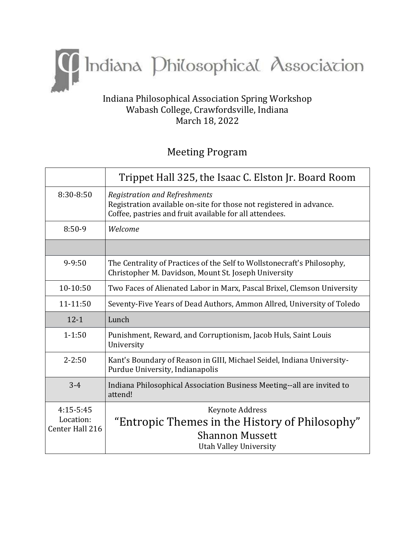

## Indiana Philosophical Association Spring Workshop Wabash College, Crawfordsville, Indiana March 18, 2022

# Meeting Program

|                                             | Trippet Hall 325, the Isaac C. Elston Jr. Board Room                                                                                                                   |  |
|---------------------------------------------|------------------------------------------------------------------------------------------------------------------------------------------------------------------------|--|
| 8:30-8:50                                   | <b>Registration and Refreshments</b><br>Registration available on-site for those not registered in advance.<br>Coffee, pastries and fruit available for all attendees. |  |
| $8:50-9$                                    | Welcome                                                                                                                                                                |  |
|                                             |                                                                                                                                                                        |  |
| $9 - 9:50$                                  | The Centrality of Practices of the Self to Wollstonecraft's Philosophy,<br>Christopher M. Davidson, Mount St. Joseph University                                        |  |
| 10-10:50                                    | Two Faces of Alienated Labor in Marx, Pascal Brixel, Clemson University                                                                                                |  |
| 11-11:50                                    | Seventy-Five Years of Dead Authors, Ammon Allred, University of Toledo                                                                                                 |  |
| $12 - 1$                                    | Lunch                                                                                                                                                                  |  |
| $1 - 1:50$                                  | Punishment, Reward, and Corruptionism, Jacob Huls, Saint Louis<br>University                                                                                           |  |
| $2 - 2:50$                                  | Kant's Boundary of Reason in GIII, Michael Seidel, Indiana University-<br>Purdue University, Indianapolis                                                              |  |
| $3 - 4$                                     | Indiana Philosophical Association Business Meeting--all are invited to<br>attend!                                                                                      |  |
| $4:15-5:45$<br>Location:<br>Center Hall 216 | Keynote Address<br>"Entropic Themes in the History of Philosophy"<br><b>Shannon Mussett</b><br><b>Utah Valley University</b>                                           |  |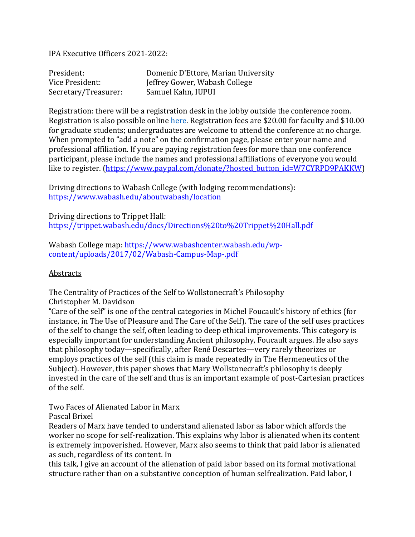IPA Executive Officers 2021-2022:

| President:           | Domenic D'Ettore, Marian University |
|----------------------|-------------------------------------|
| Vice President:      | Jeffrey Gower, Wabash College       |
| Secretary/Treasurer: | Samuel Kahn, IUPUI                  |

Registration: there will be a registration desk in the lobby outside the conference room. Registration is also possible online [here.](https://www.paypal.com/donate/?hosted_button_id=W7CYRPD9PAKKW) Registration fees are \$20.00 for faculty and \$10.00 for graduate students; undergraduates are welcome to attend the conference at no charge. When prompted to "add a note" on the confirmation page, please enter your name and professional affiliation. If you are paying registration fees for more than one conference participant, please include the names and professional affiliations of everyone you would like to register. [\(https://www.paypal.com/donate/?hosted\\_button\\_id=W7CYRPD9PAKKW\)](https://www.paypal.com/donate/?hosted_button_id=W7CYRPD9PAKKW)

Driving directions to Wabash College (with lodging recommendations): <https://www.wabash.edu/aboutwabash/location>

Driving directions to Trippet Hall: <https://trippet.wabash.edu/docs/Directions%20to%20Trippet%20Hall.pdf>

Wabash College map: [https://www.wabashcenter.wabash.edu/wp](https://www.wabashcenter.wabash.edu/wp-content/uploads/2017/02/Wabash-Campus-Map-.pdf)[content/uploads/2017/02/Wabash-Campus-Map-.pdf](https://www.wabashcenter.wabash.edu/wp-content/uploads/2017/02/Wabash-Campus-Map-.pdf)

#### Abstracts

The Centrality of Practices of the Self to Wollstonecraft's Philosophy Christopher M. Davidson

"Care of the self" is one of the central categories in Michel Foucault's history of ethics (for instance, in The Use of Pleasure and The Care of the Self). The care of the self uses practices of the self to change the self, often leading to deep ethical improvements. This category is especially important for understanding Ancient philosophy, Foucault argues. He also says that philosophy today—specifically, after René Descartes—very rarely theorizes or employs practices of the self (this claim is made repeatedly in The Hermeneutics of the Subject). However, this paper shows that Mary Wollstonecraft's philosophy is deeply invested in the care of the self and thus is an important example of post-Cartesian practices of the self.

Two Faces of Alienated Labor in Marx

Pascal Brixel

Readers of Marx have tended to understand alienated labor as labor which affords the worker no scope for self-realization. This explains why labor is alienated when its content is extremely impoverished. However, Marx also seems to think that paid labor is alienated as such, regardless of its content. In

this talk, I give an account of the alienation of paid labor based on its formal motivational structure rather than on a substantive conception of human selfrealization. Paid labor, I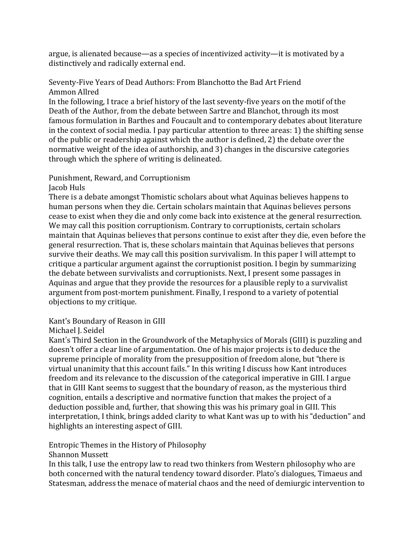argue, is alienated because—as a species of incentivized activity—it is motivated by a distinctively and radically external end.

#### Seventy-Five Years of Dead Authors: From Blanchotto the Bad Art Friend Ammon Allred

In the following, I trace a brief history of the last seventy-five years on the motif of the Death of the Author, from the debate between Sartre and Blanchot, through its most famous formulation in Barthes and Foucault and to contemporary debates about literature in the context of social media. I pay particular attention to three areas: 1) the shifting sense of the public or readership against which the author is defined, 2) the debate over the normative weight of the idea of authorship, and 3) changes in the discursive categories through which the sphere of writing is delineated.

### Punishment, Reward, and Corruptionism

Jacob Huls

There is a debate amongst Thomistic scholars about what Aquinas believes happens to human persons when they die. Certain scholars maintain that Aquinas believes persons cease to exist when they die and only come back into existence at the general resurrection. We may call this position corruptionism. Contrary to corruptionists, certain scholars maintain that Aquinas believes that persons continue to exist after they die, even before the general resurrection. That is, these scholars maintain that Aquinas believes that persons survive their deaths. We may call this position survivalism. In this paper I will attempt to critique a particular argument against the corruptionist position. I begin by summarizing the debate between survivalists and corruptionists. Next, I present some passages in Aquinas and argue that they provide the resources for a plausible reply to a survivalist argument from post-mortem punishment. Finally, I respond to a variety of potential objections to my critique.

Kant's Boundary of Reason in GIII

Michael J. Seidel

Kant's Third Section in the Groundwork of the Metaphysics of Morals (GIII) is puzzling and doesn't offer a clear line of argumentation. One of his major projects is to deduce the supreme principle of morality from the presupposition of freedom alone, but "there is virtual unanimity that this account fails." In this writing I discuss how Kant introduces freedom and its relevance to the discussion of the categorical imperative in GIII. I argue that in GIII Kant seems to suggest that the boundary of reason, as the mysterious third cognition, entails a descriptive and normative function that makes the project of a deduction possible and, further, that showing this was his primary goal in GIII. This interpretation, I think, brings added clarity to what Kant was up to with his "deduction" and highlights an interesting aspect of GIII.

Entropic Themes in the History of Philosophy

Shannon Mussett

In this talk, I use the entropy law to read two thinkers from Western philosophy who are both concerned with the natural tendency toward disorder. Plato's dialogues, Timaeus and Statesman, address the menace of material chaos and the need of demiurgic intervention to